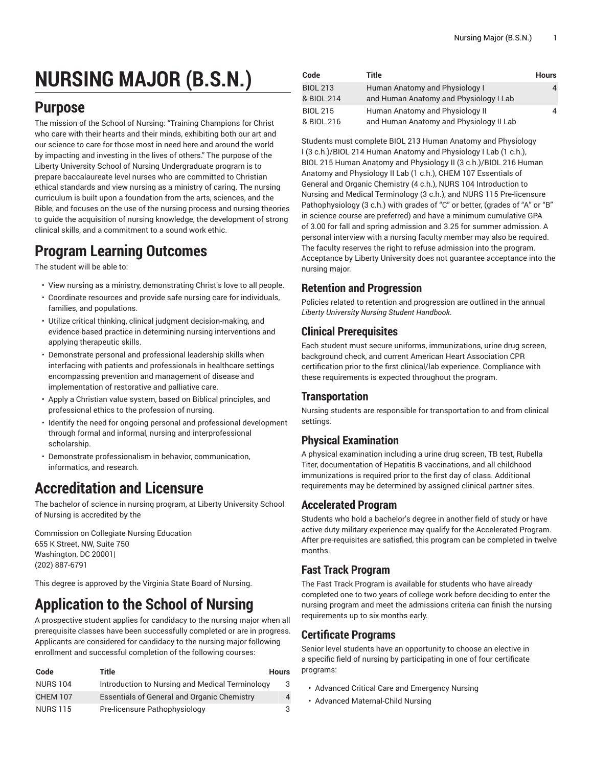# **NURSING MAJOR (B.S.N.)**

# **Purpose**

The mission of the School of Nursing: "Training Champions for Christ who care with their hearts and their minds, exhibiting both our art and our science to care for those most in need here and around the world by impacting and investing in the lives of others." The purpose of the Liberty University School of Nursing Undergraduate program is to prepare baccalaureate level nurses who are committed to Christian ethical standards and view nursing as a ministry of caring. The nursing curriculum is built upon a foundation from the arts, sciences, and the Bible, and focuses on the use of the nursing process and nursing theories to guide the acquisition of nursing knowledge, the development of strong clinical skills, and a commitment to a sound work ethic.

# **Program Learning Outcomes**

The student will be able to:

- View nursing as a ministry, demonstrating Christ's love to all people.
- Coordinate resources and provide safe nursing care for individuals, families, and populations.
- Utilize critical thinking, clinical judgment decision-making, and evidence-based practice in determining nursing interventions and applying therapeutic skills.
- Demonstrate personal and professional leadership skills when interfacing with patients and professionals in healthcare settings encompassing prevention and management of disease and implementation of restorative and palliative care.
- Apply a Christian value system, based on Biblical principles, and professional ethics to the profession of nursing.
- Identify the need for ongoing personal and professional development through formal and informal, nursing and interprofessional scholarship.
- Demonstrate professionalism in behavior, communication, informatics, and research.

# **Accreditation and Licensure**

The bachelor of science in nursing program, at Liberty University School of Nursing is accredited by the

Commission on Collegiate Nursing Education 655 K Street, NW, Suite 750 Washington, DC 20001| (202) 887-6791

This degree is approved by the Virginia State Board of Nursing.

# **Application to the School of Nursing**

A prospective student applies for candidacy to the nursing major when all prerequisite classes have been successfully completed or are in progress. Applicants are considered for candidacy to the nursing major following enrollment and successful completion of the following courses:

| Code            | Title                                              | Hours |
|-----------------|----------------------------------------------------|-------|
| <b>NURS 104</b> | Introduction to Nursing and Medical Terminology    | 3     |
| <b>CHEM 107</b> | <b>Essentials of General and Organic Chemistry</b> | 4     |
| <b>NURS 115</b> | Pre-licensure Pathophysiology                      | 3     |

| Code                          | Title                                                                      | <b>Hours</b> |
|-------------------------------|----------------------------------------------------------------------------|--------------|
| <b>BIOL 213</b><br>& BIOL 214 | Human Anatomy and Physiology I<br>and Human Anatomy and Physiology I Lab   |              |
| <b>BIOL 215</b><br>& BIOL 216 | Human Anatomy and Physiology II<br>and Human Anatomy and Physiology II Lab |              |

Students must complete BIOL 213 Human Anatomy and Physiology I (3 c.h.)/BIOL 214 Human Anatomy and Physiology I Lab (1 c.h.), BIOL 215 Human Anatomy and Physiology II (3 c.h.)/BIOL 216 Human Anatomy and Physiology II Lab (1 c.h.), CHEM 107 Essentials of General and Organic Chemistry (4 c.h.), NURS 104 Introduction to Nursing and Medical Terminology (3 c.h.), and NURS 115 Pre-licensure Pathophysiology (3 c.h.) with grades of "C" or better, (grades of "A" or "B" in science course are preferred) and have a minimum cumulative GPA of 3.00 for fall and spring admission and 3.25 for summer admission. A personal interview with a nursing faculty member may also be required. The faculty reserves the right to refuse admission into the program. Acceptance by Liberty University does not guarantee acceptance into the nursing major.

### **Retention and Progression**

Policies related to retention and progression are outlined in the annual *Liberty University Nursing Student Handbook*.

### **Clinical Prerequisites**

Each student must secure uniforms, immunizations, urine drug screen, background check, and current American Heart Association CPR certification prior to the first clinical/lab experience. Compliance with these requirements is expected throughout the program.

### **Transportation**

Nursing students are responsible for transportation to and from clinical settings.

### **Physical Examination**

A physical examination including a urine drug screen, TB test, Rubella Titer, documentation of Hepatitis B vaccinations, and all childhood immunizations is required prior to the first day of class. Additional requirements may be determined by assigned clinical partner sites.

### **Accelerated Program**

Students who hold a bachelor's degree in another field of study or have active duty military experience may qualify for the Accelerated Program. After pre-requisites are satisfied, this program can be completed in twelve months.

### **Fast Track Program**

The Fast Track Program is available for students who have already completed one to two years of college work before deciding to enter the nursing program and meet the admissions criteria can finish the nursing requirements up to six months early.

### **Certificate Programs**

Senior level students have an opportunity to choose an elective in a specific field of nursing by participating in one of four certificate programs:

- Advanced Critical Care and Emergency Nursing
- Advanced Maternal-Child Nursing